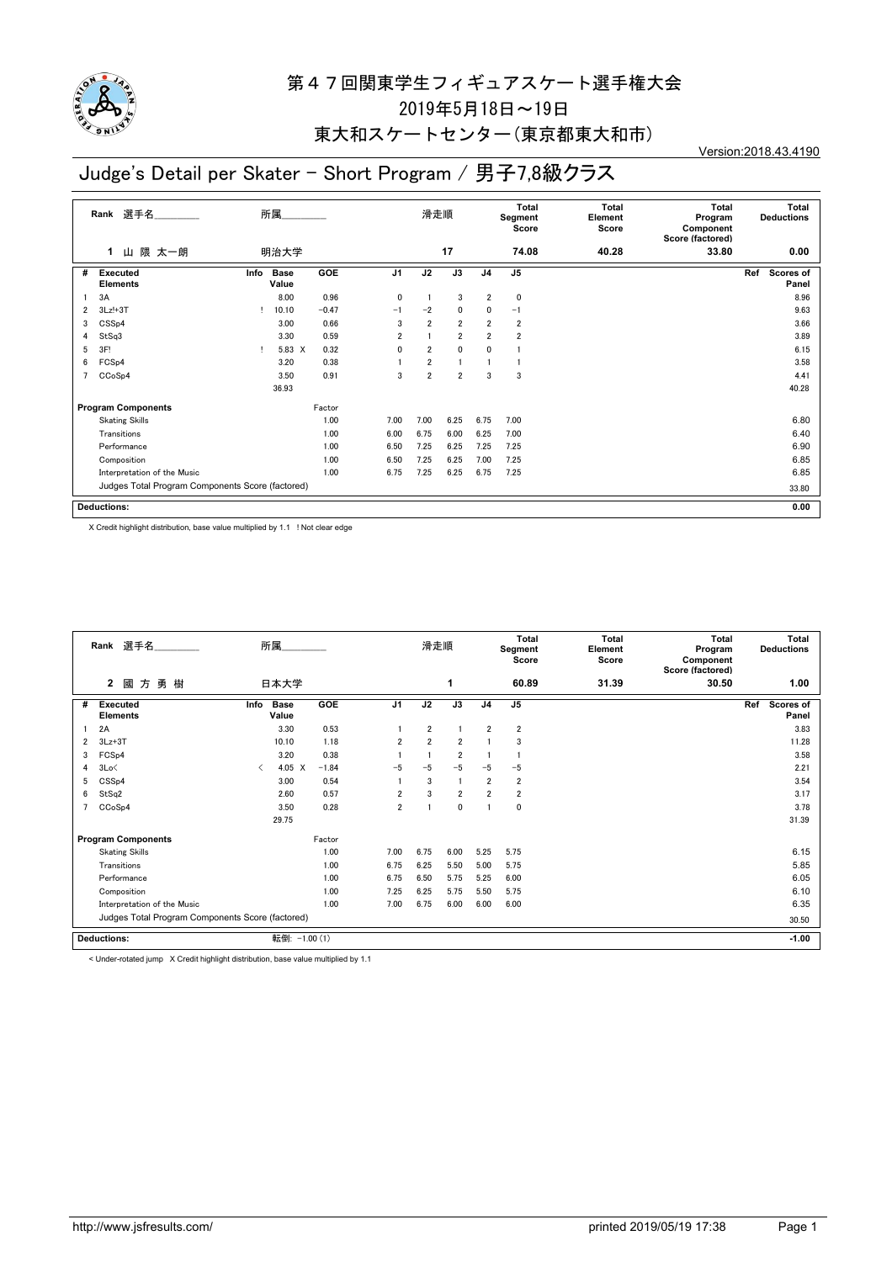

## 東大和スケートセンター(東京都東大和市)

#### Version:2018.43.4190

## Judge's Detail per Skater - Short Program / 男子7,8級クラス

|   | 選手名<br>Rank                                      |      | 所属                   |            |                | 滑走順            |                |                | Total<br>Segment<br>Score | <b>Total</b><br>Element<br>Score | <b>Total</b><br>Program<br>Component<br>Score (factored) | <b>Total</b><br><b>Deductions</b> |
|---|--------------------------------------------------|------|----------------------|------------|----------------|----------------|----------------|----------------|---------------------------|----------------------------------|----------------------------------------------------------|-----------------------------------|
|   | 山 隈 太一朗<br>1                                     |      | 明治大学                 |            |                |                | 17             |                | 74.08                     | 40.28                            | 33.80                                                    | 0.00                              |
| # | <b>Executed</b><br><b>Elements</b>               | Info | <b>Base</b><br>Value | <b>GOE</b> | J <sub>1</sub> | J2             | J3             | J <sub>4</sub> | J <sub>5</sub>            |                                  |                                                          | Scores of<br>Ref<br>Panel         |
|   | 3A                                               |      | 8.00                 | 0.96       | 0              |                | 3              | $\overline{2}$ | 0                         |                                  |                                                          | 8.96                              |
| 2 | $3Lz!+3T$                                        |      | 10.10                | $-0.47$    | $-1$           | $-2$           | 0              | 0              | $-1$                      |                                  |                                                          | 9.63                              |
| 3 | CSS <sub>p4</sub>                                |      | 3.00                 | 0.66       | 3              | $\overline{2}$ | $\overline{2}$ | $\overline{2}$ | $\overline{2}$            |                                  |                                                          | 3.66                              |
| 4 | StSq3                                            |      | 3.30                 | 0.59       | $\overline{2}$ |                | $\overline{2}$ | $\overline{2}$ | $\overline{2}$            |                                  |                                                          | 3.89                              |
| 5 | 3F!                                              |      | 5.83 X               | 0.32       | 0              | $\overline{2}$ | $\mathbf 0$    | 0              |                           |                                  |                                                          | 6.15                              |
| 6 | FCS <sub>p4</sub>                                |      | 3.20                 | 0.38       |                | $\overline{2}$ |                |                |                           |                                  |                                                          | 3.58                              |
| 7 | CCoSp4                                           |      | 3.50                 | 0.91       | 3              | $\overline{2}$ | $\overline{2}$ | 3              | 3                         |                                  |                                                          | 4.41                              |
|   |                                                  |      | 36.93                |            |                |                |                |                |                           |                                  |                                                          | 40.28                             |
|   | <b>Program Components</b>                        |      |                      | Factor     |                |                |                |                |                           |                                  |                                                          |                                   |
|   | <b>Skating Skills</b>                            |      |                      | 1.00       | 7.00           | 7.00           | 6.25           | 6.75           | 7.00                      |                                  |                                                          | 6.80                              |
|   | Transitions                                      |      |                      | 1.00       | 6.00           | 6.75           | 6.00           | 6.25           | 7.00                      |                                  |                                                          | 6.40                              |
|   | Performance                                      |      |                      | 1.00       | 6.50           | 7.25           | 6.25           | 7.25           | 7.25                      |                                  |                                                          | 6.90                              |
|   | Composition                                      |      |                      | 1.00       | 6.50           | 7.25           | 6.25           | 7.00           | 7.25                      |                                  |                                                          | 6.85                              |
|   | Interpretation of the Music                      |      |                      | 1.00       | 6.75           | 7.25           | 6.25           | 6.75           | 7.25                      |                                  |                                                          | 6.85                              |
|   | Judges Total Program Components Score (factored) |      |                      |            |                |                |                |                |                           |                                  |                                                          | 33.80                             |
|   | <b>Deductions:</b>                               |      |                      |            |                |                |                |                |                           |                                  |                                                          | 0.00                              |

X Credit highlight distribution, base value multiplied by 1.1 ! Not clear edge

|   | Rank 選手名                                         |      | 所属                   |         |                | 滑走順            |                |                | Total<br>Segment<br>Score | Total<br>Element<br>Score | <b>Total</b><br>Program<br>Component<br>Score (factored) | Total<br><b>Deductions</b> |
|---|--------------------------------------------------|------|----------------------|---------|----------------|----------------|----------------|----------------|---------------------------|---------------------------|----------------------------------------------------------|----------------------------|
|   | 方勇樹<br>$\overline{2}$<br>國                       |      | 日本大学                 |         |                |                | 1              |                | 60.89                     | 31.39                     | 30.50                                                    | 1.00                       |
| # | <b>Executed</b><br><b>Elements</b>               | Info | <b>Base</b><br>Value | GOE     | J <sub>1</sub> | J2             | J3             | J <sub>4</sub> | J <sub>5</sub>            |                           |                                                          | Scores of<br>Ref<br>Panel  |
|   | 2A                                               |      | 3.30                 | 0.53    |                | 2              |                | $\overline{2}$ | $\overline{2}$            |                           |                                                          | 3.83                       |
| 2 | $3Lz + 3T$                                       |      | 10.10                | 1.18    | $\overline{2}$ | $\overline{2}$ | $\overline{2}$ |                | 3                         |                           |                                                          | 11.28                      |
| 3 | FCS <sub>p4</sub>                                |      | 3.20                 | 0.38    |                |                | $\overline{2}$ |                |                           |                           |                                                          | 3.58                       |
| 4 | 3Lo<                                             | ◁    | $4.05 \quad X$       | $-1.84$ | $-5$           | $-5$           | $-5$           | $-5$           | $-5$                      |                           |                                                          | 2.21                       |
| 5 | CSS <sub>p4</sub>                                |      | 3.00                 | 0.54    |                | 3              | -1             | $\overline{2}$ | $\overline{\mathbf{2}}$   |                           |                                                          | 3.54                       |
| 6 | StSq2                                            |      | 2.60                 | 0.57    | $\overline{2}$ | 3              | $\overline{2}$ | $\overline{2}$ | $\overline{2}$            |                           |                                                          | 3.17                       |
|   | CCoSp4                                           |      | 3.50                 | 0.28    | $\overline{2}$ |                | $\mathbf 0$    |                | $\mathbf 0$               |                           |                                                          | 3.78                       |
|   |                                                  |      | 29.75                |         |                |                |                |                |                           |                           |                                                          | 31.39                      |
|   | <b>Program Components</b>                        |      |                      | Factor  |                |                |                |                |                           |                           |                                                          |                            |
|   | <b>Skating Skills</b>                            |      |                      | 1.00    | 7.00           | 6.75           | 6.00           | 5.25           | 5.75                      |                           |                                                          | 6.15                       |
|   | Transitions                                      |      |                      | 1.00    | 6.75           | 6.25           | 5.50           | 5.00           | 5.75                      |                           |                                                          | 5.85                       |
|   | Performance                                      |      |                      | 1.00    | 6.75           | 6.50           | 5.75           | 5.25           | 6.00                      |                           |                                                          | 6.05                       |
|   | Composition                                      |      |                      | 1.00    | 7.25           | 6.25           | 5.75           | 5.50           | 5.75                      |                           |                                                          | 6.10                       |
|   | Interpretation of the Music                      |      |                      | 1.00    | 7.00           | 6.75           | 6.00           | 6.00           | 6.00                      |                           |                                                          | 6.35                       |
|   | Judges Total Program Components Score (factored) |      |                      |         |                |                |                |                |                           |                           |                                                          | 30.50                      |
|   | <b>Deductions:</b>                               |      | 転倒: -1.00 (1)        |         |                |                |                |                |                           |                           |                                                          | $-1.00$                    |

< Under-rotated jump X Credit highlight distribution, base value multiplied by 1.1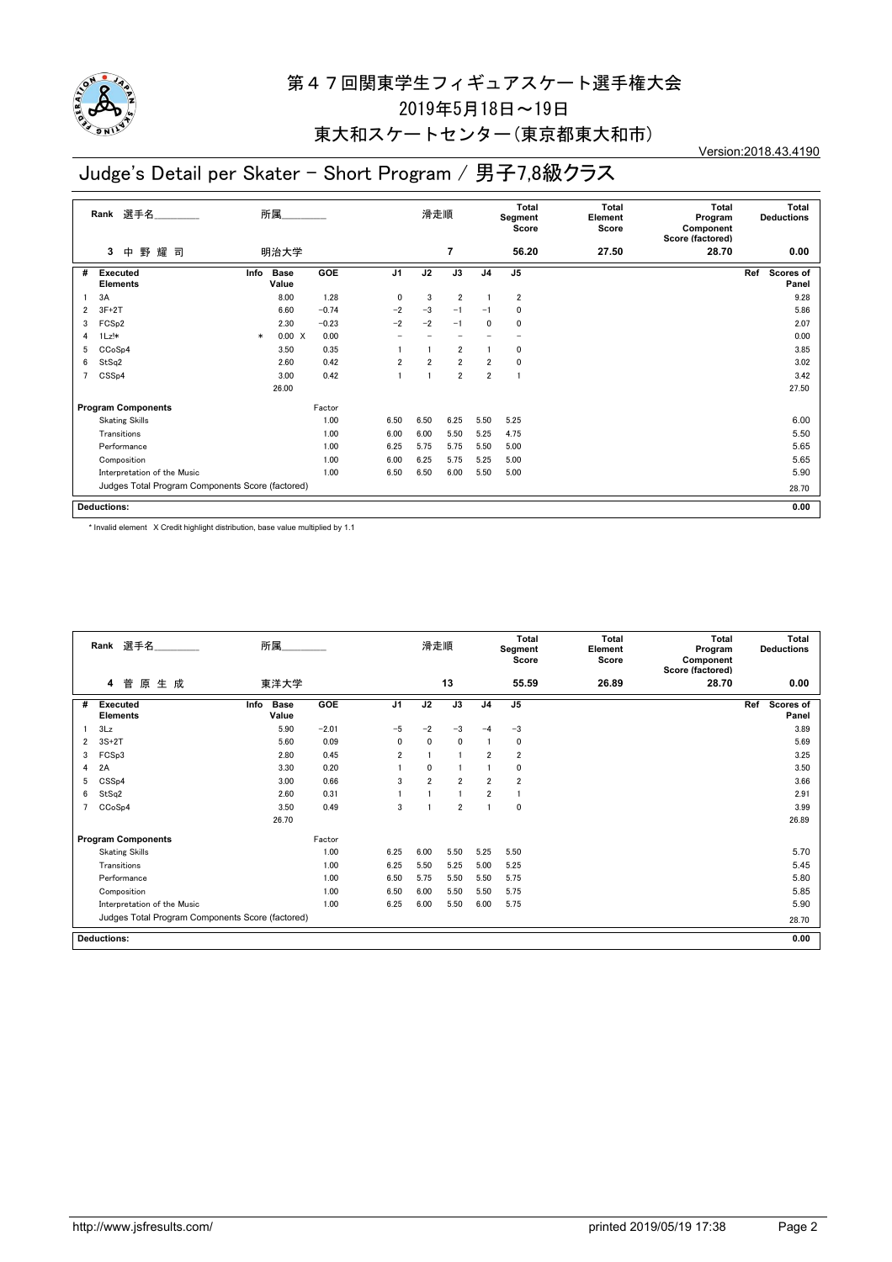

## 東大和スケートセンター(東京都東大和市)

Version:2018.43.4190

## Judge's Detail per Skater - Short Program / 男子7,8級クラス

|   | 選手名<br>Rank                                      |        | 所属                   |         |                | 滑走順            |                |                | <b>Total</b><br>Segment<br>Score | <b>Total</b><br>Element<br>Score | <b>Total</b><br>Program<br>Component<br>Score (factored) | Total<br><b>Deductions</b>       |  |
|---|--------------------------------------------------|--------|----------------------|---------|----------------|----------------|----------------|----------------|----------------------------------|----------------------------------|----------------------------------------------------------|----------------------------------|--|
|   | 野<br>耀<br>3<br>中<br>司                            |        | 明治大学                 |         |                |                | $\overline{7}$ |                | 56.20                            | 27.50                            | 28.70                                                    | 0.00                             |  |
| # | <b>Executed</b><br><b>Elements</b>               | Info   | <b>Base</b><br>Value | GOE     | J <sub>1</sub> | J2             | J3             | J <sub>4</sub> | J <sub>5</sub>                   |                                  |                                                          | Ref<br><b>Scores of</b><br>Panel |  |
|   | 3A                                               |        | 8.00                 | 1.28    | $\mathbf{0}$   | 3              | $\overline{2}$ |                | $\overline{2}$                   |                                  |                                                          | 9.28                             |  |
| 2 | $3F+2T$                                          |        | 6.60                 | $-0.74$ | $-2$           | $-3$           | $-1$           | $-1$           | 0                                |                                  |                                                          | 5.86                             |  |
| 3 | FCS <sub>p2</sub>                                |        | 2.30                 | $-0.23$ | $-2$           | $-2$           | $-1$           | 0              | 0                                |                                  |                                                          | 2.07                             |  |
| 4 | $1Lz!*$                                          | $\ast$ | 0.00 X               | 0.00    |                |                |                |                | $\overline{\phantom{0}}$         |                                  |                                                          | 0.00                             |  |
| 5 | CCoSp4                                           |        | 3.50                 | 0.35    |                |                | $\overline{2}$ |                | 0                                |                                  |                                                          | 3.85                             |  |
| 6 | StSq2                                            |        | 2.60                 | 0.42    | $\overline{2}$ | $\overline{2}$ | $\overline{2}$ | $\overline{2}$ | 0                                |                                  |                                                          | 3.02                             |  |
|   | CSS <sub>p4</sub>                                |        | 3.00                 | 0.42    |                |                | $\overline{2}$ | $\overline{2}$ | J.                               |                                  |                                                          | 3.42                             |  |
|   |                                                  |        | 26.00                |         |                |                |                |                |                                  |                                  |                                                          | 27.50                            |  |
|   | <b>Program Components</b>                        |        |                      | Factor  |                |                |                |                |                                  |                                  |                                                          |                                  |  |
|   | <b>Skating Skills</b>                            |        |                      | 1.00    | 6.50           | 6.50           | 6.25           | 5.50           | 5.25                             |                                  |                                                          | 6.00                             |  |
|   | Transitions                                      |        |                      | 1.00    | 6.00           | 6.00           | 5.50           | 5.25           | 4.75                             |                                  |                                                          | 5.50                             |  |
|   | Performance                                      |        |                      | 1.00    | 6.25           | 5.75           | 5.75           | 5.50           | 5.00                             |                                  |                                                          | 5.65                             |  |
|   | Composition                                      |        |                      | 1.00    | 6.00           | 6.25           | 5.75           | 5.25           | 5.00                             |                                  |                                                          | 5.65                             |  |
|   | Interpretation of the Music                      |        |                      | 1.00    | 6.50           | 6.50           | 6.00           | 5.50           | 5.00                             |                                  |                                                          | 5.90                             |  |
|   | Judges Total Program Components Score (factored) |        |                      |         |                |                |                |                |                                  |                                  |                                                          | 28.70                            |  |
|   | <b>Deductions:</b>                               |        |                      |         |                |                |                |                |                                  |                                  |                                                          | 0.00                             |  |

\* Invalid element X Credit highlight distribution, base value multiplied by 1.1

|   | Rank 選手名                                         | 所属                           |         |                | 滑走順            |                |                | Total<br>Segment<br>Score | <b>Total</b><br>Element<br>Score | Total<br>Program<br>Component<br>Score (factored) | <b>Total</b><br><b>Deductions</b> |
|---|--------------------------------------------------|------------------------------|---------|----------------|----------------|----------------|----------------|---------------------------|----------------------------------|---------------------------------------------------|-----------------------------------|
|   | 菅<br>原<br>生成<br>4                                | 東洋大学                         |         |                |                | 13             |                | 55.59                     | 26.89                            | 28.70                                             | 0.00                              |
| # | <b>Executed</b><br><b>Elements</b>               | <b>Base</b><br>Info<br>Value | GOE     | J <sub>1</sub> | J2             | J3             | J <sub>4</sub> | J5                        |                                  |                                                   | Ref<br>Scores of<br>Panel         |
|   | 3Lz                                              | 5.90                         | $-2.01$ | $-5$           | $-2$           | $-3$           | $-4$           | $-3$                      |                                  |                                                   | 3.89                              |
| 2 | $3S+2T$                                          | 5.60                         | 0.09    | 0              | $\mathbf{0}$   | 0              |                | $\mathbf 0$               |                                  |                                                   | 5.69                              |
| 3 | FCS <sub>p3</sub>                                | 2.80                         | 0.45    | $\overline{2}$ |                | $\overline{1}$ | $\overline{2}$ | $\overline{2}$            |                                  |                                                   | 3.25                              |
| 4 | 2A                                               | 3.30                         | 0.20    |                | $\mathbf{0}$   |                |                | $\mathbf 0$               |                                  |                                                   | 3.50                              |
| 5 | CSS <sub>p4</sub>                                | 3.00                         | 0.66    | 3              | $\overline{2}$ | $\overline{2}$ | $\overline{2}$ | $\overline{2}$            |                                  |                                                   | 3.66                              |
| 6 | StSq2                                            | 2.60                         | 0.31    |                |                | 1              | $\overline{2}$ |                           |                                  |                                                   | 2.91                              |
|   | CCoSp4                                           | 3.50                         | 0.49    | 3              |                | $\overline{2}$ |                | $\mathbf 0$               |                                  |                                                   | 3.99                              |
|   |                                                  | 26.70                        |         |                |                |                |                |                           |                                  |                                                   | 26.89                             |
|   | <b>Program Components</b>                        |                              | Factor  |                |                |                |                |                           |                                  |                                                   |                                   |
|   | <b>Skating Skills</b>                            |                              | 1.00    | 6.25           | 6.00           | 5.50           | 5.25           | 5.50                      |                                  |                                                   | 5.70                              |
|   | Transitions                                      |                              | 1.00    | 6.25           | 5.50           | 5.25           | 5.00           | 5.25                      |                                  |                                                   | 5.45                              |
|   | Performance                                      |                              | 1.00    | 6.50           | 5.75           | 5.50           | 5.50           | 5.75                      |                                  |                                                   | 5.80                              |
|   | Composition                                      |                              | 1.00    | 6.50           | 6.00           | 5.50           | 5.50           | 5.75                      |                                  |                                                   | 5.85                              |
|   | Interpretation of the Music                      |                              | 1.00    | 6.25           | 6.00           | 5.50           | 6.00           | 5.75                      |                                  |                                                   | 5.90                              |
|   | Judges Total Program Components Score (factored) |                              |         |                |                |                |                |                           |                                  |                                                   | 28.70                             |
|   | <b>Deductions:</b>                               |                              |         |                |                |                |                |                           |                                  |                                                   | 0.00                              |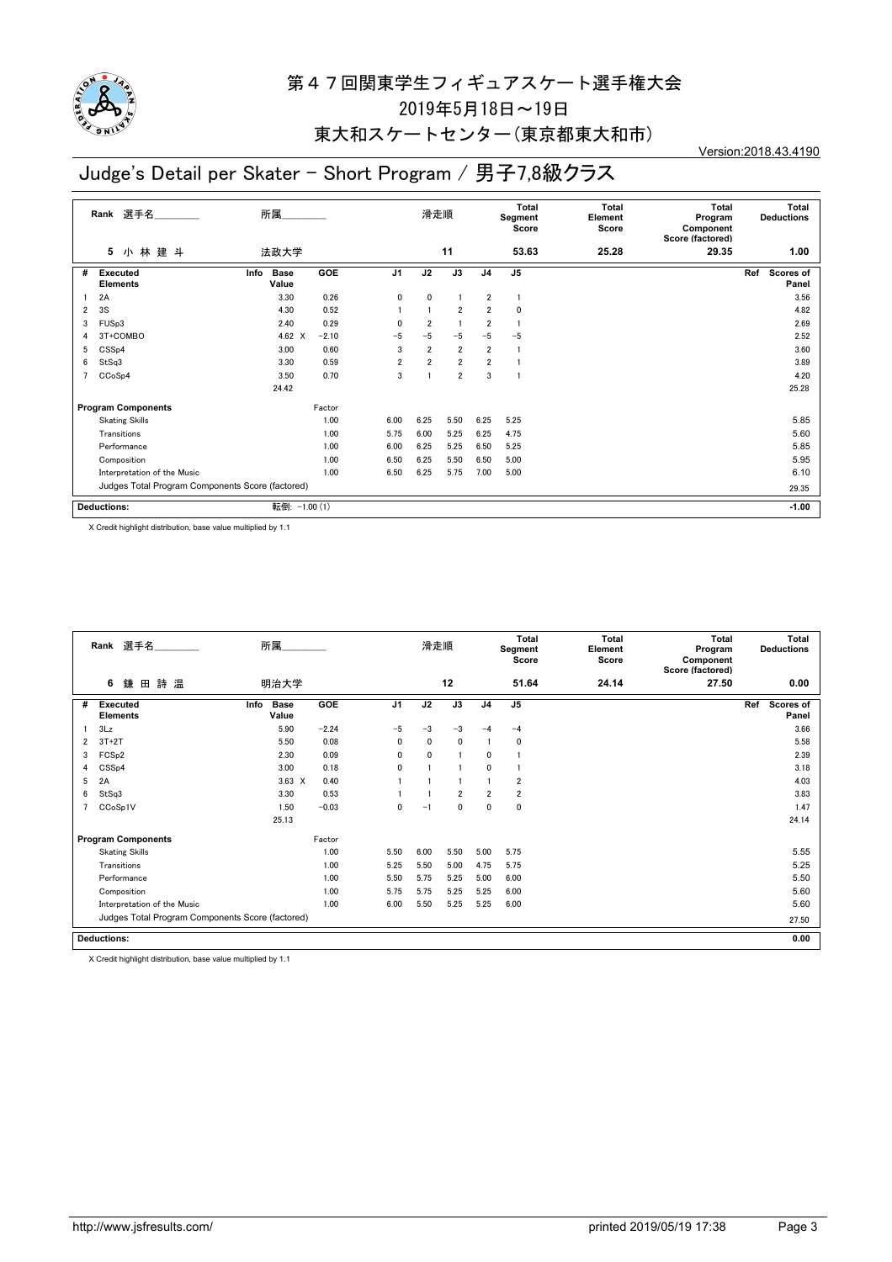

## 東大和スケートセンター(東京都東大和市)

#### Version:2018.43.4190

## Judge's Detail per Skater - Short Program / 男子7,8級クラス

|   | 選手名<br>Rank                                      | 所属                           |            |                | 滑走順            |                |                | Total<br>Segment<br>Score | Total<br>Element<br>Score | <b>Total</b><br>Program<br>Component<br>Score (factored) | <b>Total</b><br><b>Deductions</b> |
|---|--------------------------------------------------|------------------------------|------------|----------------|----------------|----------------|----------------|---------------------------|---------------------------|----------------------------------------------------------|-----------------------------------|
|   | 小林建斗<br>5                                        | 法政大学                         |            |                |                | 11             |                | 53.63                     | 25.28                     | 29.35                                                    | 1.00                              |
| # | <b>Executed</b><br><b>Elements</b>               | <b>Base</b><br>Info<br>Value | <b>GOE</b> | J <sub>1</sub> | J2             | J3             | J <sub>4</sub> | J <sub>5</sub>            |                           |                                                          | Ref<br><b>Scores of</b><br>Panel  |
|   | 2A                                               | 3.30                         | 0.26       | 0              | $\mathbf 0$    | $\mathbf{1}$   | $\overline{2}$ | $\overline{1}$            |                           |                                                          | 3.56                              |
| 2 | 3S                                               | 4.30                         | 0.52       |                | $\mathbf{1}$   | $\overline{2}$ | $\overline{2}$ | 0                         |                           |                                                          | 4.82                              |
| 3 | FUS <sub>p3</sub>                                | 2.40                         | 0.29       | $\mathbf{0}$   | $\overline{2}$ | $\overline{1}$ | $\overline{2}$ | $\overline{1}$            |                           |                                                          | 2.69                              |
| 4 | 3T+COMBO                                         | 4.62 $\times$                | $-2.10$    | $-5$           | $-5$           | $-5$           | $-5$           | $-5$                      |                           |                                                          | 2.52                              |
| 5 | CSS <sub>p4</sub>                                | 3.00                         | 0.60       | 3              | $\overline{2}$ | $\overline{2}$ | $\overline{2}$ | L.                        |                           |                                                          | 3.60                              |
| 6 | StSq3                                            | 3.30                         | 0.59       | $\overline{2}$ | $\overline{2}$ | $\overline{2}$ | $\overline{2}$ |                           |                           |                                                          | 3.89                              |
| 7 | CCoSp4                                           | 3.50                         | 0.70       | 3              |                | $\overline{2}$ | 3              |                           |                           |                                                          | 4.20                              |
|   |                                                  | 24.42                        |            |                |                |                |                |                           |                           |                                                          | 25.28                             |
|   | <b>Program Components</b>                        |                              | Factor     |                |                |                |                |                           |                           |                                                          |                                   |
|   | <b>Skating Skills</b>                            |                              | 1.00       | 6.00           | 6.25           | 5.50           | 6.25           | 5.25                      |                           |                                                          | 5.85                              |
|   | Transitions                                      |                              | 1.00       | 5.75           | 6.00           | 5.25           | 6.25           | 4.75                      |                           |                                                          | 5.60                              |
|   | Performance                                      |                              | 1.00       | 6.00           | 6.25           | 5.25           | 6.50           | 5.25                      |                           |                                                          | 5.85                              |
|   | Composition                                      |                              | 1.00       | 6.50           | 6.25           | 5.50           | 6.50           | 5.00                      |                           |                                                          | 5.95                              |
|   | Interpretation of the Music                      |                              | 1.00       | 6.50           | 6.25           | 5.75           | 7.00           | 5.00                      |                           |                                                          | 6.10                              |
|   | Judges Total Program Components Score (factored) |                              |            |                |                |                |                |                           |                           |                                                          | 29.35                             |
|   | <b>Deductions:</b>                               | 転倒: -1.00 (1)                |            |                |                |                |                |                           |                           |                                                          | $-1.00$                           |

X Credit highlight distribution, base value multiplied by 1.1

|   | Rank 選手名                                         | 所属                           |         |                | 滑走順          |                |                | <b>Total</b><br>Segment<br>Score | <b>Total</b><br>Element<br>Score | Total<br>Program<br>Component<br>Score (factored) | <b>Total</b><br><b>Deductions</b> |
|---|--------------------------------------------------|------------------------------|---------|----------------|--------------|----------------|----------------|----------------------------------|----------------------------------|---------------------------------------------------|-----------------------------------|
|   | 詩 温<br>鎌<br>6<br>田                               | 明治大学                         |         |                |              | 12             |                | 51.64                            | 24.14                            | 27.50                                             | 0.00                              |
| # | <b>Executed</b><br><b>Elements</b>               | <b>Base</b><br>Info<br>Value | GOE     | J <sub>1</sub> | J2           | J3             | J4             | J <sub>5</sub>                   |                                  |                                                   | Scores of<br>Ref<br>Panel         |
|   | 3Lz                                              | 5.90                         | $-2.24$ | $-5$           | $-3$         | $-3$           | $-4$           | $-4$                             |                                  |                                                   | 3.66                              |
| 2 | $3T+2T$                                          | 5.50                         | 0.08    | $\mathbf{0}$   | $\mathbf{0}$ | $\mathbf{0}$   |                | 0                                |                                  |                                                   | 5.58                              |
| 3 | FCS <sub>p2</sub>                                | 2.30                         | 0.09    | 0              | $\mathbf{0}$ | 1              | $\mathbf{0}$   |                                  |                                  |                                                   | 2.39                              |
| 4 | CSS <sub>p4</sub>                                | 3.00                         | 0.18    | 0              |              |                | $\mathbf{0}$   |                                  |                                  |                                                   | 3.18                              |
| 5 | 2A                                               | $3.63 \times$                | 0.40    |                |              |                |                | $\overline{2}$                   |                                  |                                                   | 4.03                              |
| 6 | StSq3                                            | 3.30                         | 0.53    |                |              | $\overline{2}$ | $\overline{2}$ | $\overline{2}$                   |                                  |                                                   | 3.83                              |
|   | CCoSp1V                                          | 1.50                         | $-0.03$ | 0              | $-1$         | 0              | 0              | $\mathbf 0$                      |                                  |                                                   | 1.47                              |
|   |                                                  | 25.13                        |         |                |              |                |                |                                  |                                  |                                                   | 24.14                             |
|   | <b>Program Components</b>                        |                              | Factor  |                |              |                |                |                                  |                                  |                                                   |                                   |
|   | <b>Skating Skills</b>                            |                              | 1.00    | 5.50           | 6.00         | 5.50           | 5.00           | 5.75                             |                                  |                                                   | 5.55                              |
|   | Transitions                                      |                              | 1.00    | 5.25           | 5.50         | 5.00           | 4.75           | 5.75                             |                                  |                                                   | 5.25                              |
|   | Performance                                      |                              | 1.00    | 5.50           | 5.75         | 5.25           | 5.00           | 6.00                             |                                  |                                                   | 5.50                              |
|   | Composition                                      |                              | 1.00    | 5.75           | 5.75         | 5.25           | 5.25           | 6.00                             |                                  |                                                   | 5.60                              |
|   | Interpretation of the Music                      |                              | 1.00    | 6.00           | 5.50         | 5.25           | 5.25           | 6.00                             |                                  |                                                   | 5.60                              |
|   | Judges Total Program Components Score (factored) |                              |         |                |              |                |                |                                  |                                  |                                                   | 27.50                             |
|   | <b>Deductions:</b>                               |                              |         |                |              |                |                |                                  |                                  |                                                   | 0.00                              |

X Credit highlight distribution, base value multiplied by 1.1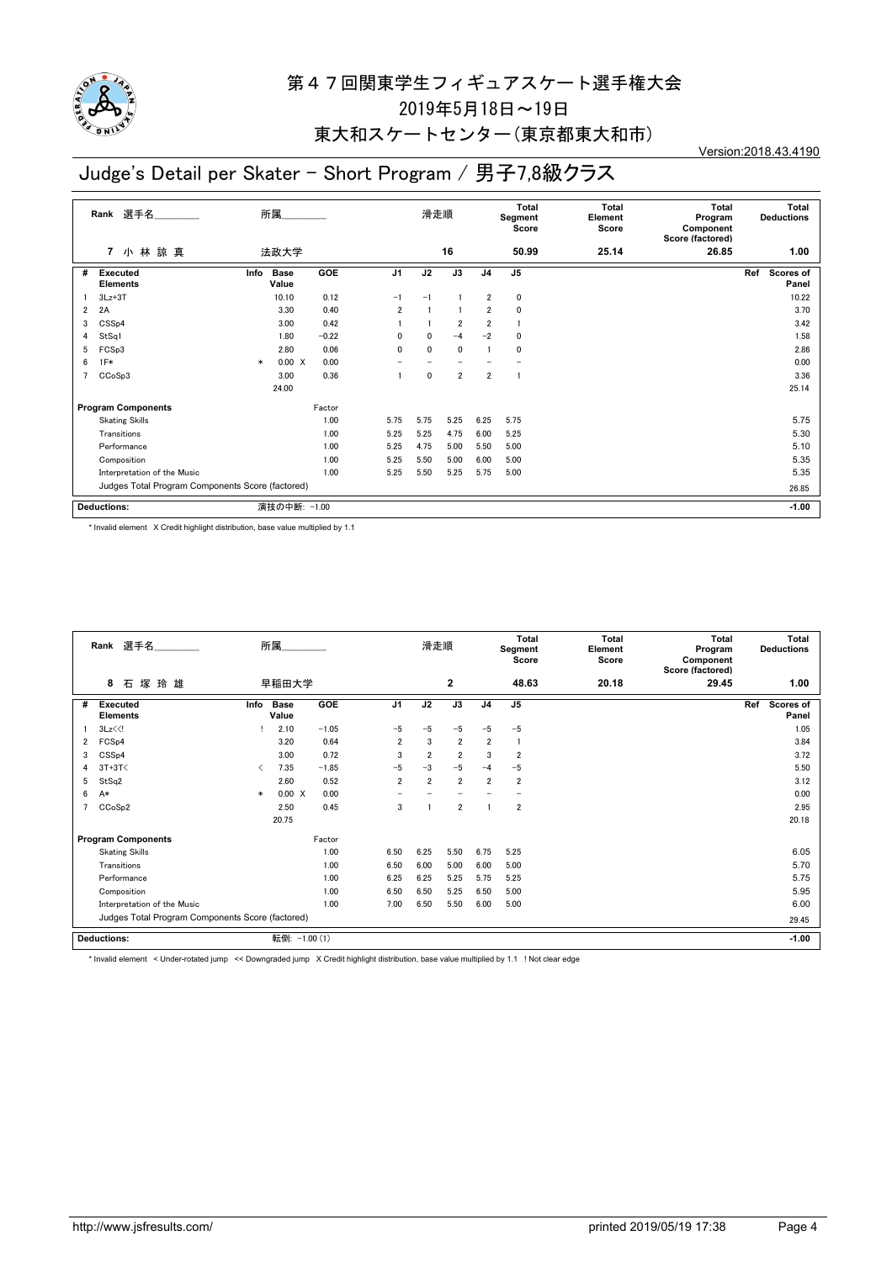

## 東大和スケートセンター(東京都東大和市)

Version:2018.43.4190

## Judge's Detail per Skater - Short Program / 男子7,8級クラス

|   | 選手名<br>Rank                                      |        | 所属                   |            |                | 滑走順          |                          |                | Total<br>Segment<br>Score | <b>Total</b><br>Element<br>Score | <b>Total</b><br>Program<br>Component<br>Score (factored) | <b>Total</b><br><b>Deductions</b> |
|---|--------------------------------------------------|--------|----------------------|------------|----------------|--------------|--------------------------|----------------|---------------------------|----------------------------------|----------------------------------------------------------|-----------------------------------|
|   | 小林諒真<br>$\overline{7}$                           |        | 法政大学                 |            |                |              | 16                       |                | 50.99                     | 25.14                            | 26.85                                                    | 1.00                              |
| # | <b>Executed</b><br><b>Elements</b>               | Info   | <b>Base</b><br>Value | <b>GOE</b> | J <sub>1</sub> | J2           | J3                       | J <sub>4</sub> | J <sub>5</sub>            |                                  |                                                          | Scores of<br>Ref<br>Panel         |
|   | $3Lz + 3T$                                       |        | 10.10                | 0.12       | $-1$           | $-1$         |                          | $\overline{2}$ | 0                         |                                  |                                                          | 10.22                             |
| 2 | 2A                                               |        | 3.30                 | 0.40       | $\overline{2}$ |              |                          | $\overline{2}$ | 0                         |                                  |                                                          | 3.70                              |
| 3 | CSS <sub>p4</sub>                                |        | 3.00                 | 0.42       |                |              | $\overline{2}$           | $\overline{2}$ | $\mathbf{1}$              |                                  |                                                          | 3.42                              |
| 4 | StSq1                                            |        | 1.80                 | $-0.22$    | $\mathbf{0}$   | $\mathbf{0}$ | $-4$                     | $-2$           | $\mathbf{0}$              |                                  |                                                          | 1.58                              |
| 5 | FCSp3                                            |        | 2.80                 | 0.06       | $\mathbf{0}$   | 0            | $\mathbf 0$              |                | 0                         |                                  |                                                          | 2.86                              |
| 6 | $1F*$                                            | $\ast$ | 0.00 X               | 0.00       |                |              | $\overline{\phantom{0}}$ |                |                           |                                  |                                                          | 0.00                              |
|   | CCoSp3                                           |        | 3.00                 | 0.36       |                | 0            | $\overline{2}$           | $\overline{2}$ | 1                         |                                  |                                                          | 3.36                              |
|   |                                                  |        | 24.00                |            |                |              |                          |                |                           |                                  |                                                          | 25.14                             |
|   | <b>Program Components</b>                        |        |                      | Factor     |                |              |                          |                |                           |                                  |                                                          |                                   |
|   | <b>Skating Skills</b>                            |        |                      | 1.00       | 5.75           | 5.75         | 5.25                     | 6.25           | 5.75                      |                                  |                                                          | 5.75                              |
|   | Transitions                                      |        |                      | 1.00       | 5.25           | 5.25         | 4.75                     | 6.00           | 5.25                      |                                  |                                                          | 5.30                              |
|   | Performance                                      |        |                      | 1.00       | 5.25           | 4.75         | 5.00                     | 5.50           | 5.00                      |                                  |                                                          | 5.10                              |
|   | Composition                                      |        |                      | 1.00       | 5.25           | 5.50         | 5.00                     | 6.00           | 5.00                      |                                  |                                                          | 5.35                              |
|   | Interpretation of the Music                      |        |                      | 1.00       | 5.25           | 5.50         | 5.25                     | 5.75           | 5.00                      |                                  |                                                          | 5.35                              |
|   | Judges Total Program Components Score (factored) |        |                      |            |                |              |                          |                |                           |                                  | 26.85                                                    |                                   |
|   | <b>Deductions:</b>                               |        | 演技の中断: -1.00         |            |                |              |                          |                |                           |                                  |                                                          | $-1.00$                           |

\* Invalid element X Credit highlight distribution, base value multiplied by 1.1

|   | 選手名<br>Rank                                      |        | 所属                   |            |                | 滑走順            |                |                | <b>Total</b><br>Segment<br>Score | <b>Total</b><br>Element<br>Score | <b>Total</b><br>Program<br>Component<br>Score (factored) | <b>Total</b><br><b>Deductions</b> |
|---|--------------------------------------------------|--------|----------------------|------------|----------------|----------------|----------------|----------------|----------------------------------|----------------------------------|----------------------------------------------------------|-----------------------------------|
|   | 塚<br>8<br>石<br>玲 雄                               |        | 早稲田大学                |            |                |                | $\mathbf{2}$   |                | 48.63                            | 20.18                            | 29.45                                                    | 1.00                              |
| # | <b>Executed</b><br><b>Elements</b>               | Info   | <b>Base</b><br>Value | <b>GOE</b> | J <sub>1</sub> | J2             | J3             | J <sub>4</sub> | J <sub>5</sub>                   |                                  |                                                          | Ref<br>Scores of<br>Panel         |
|   | $3Lz\leq 1$                                      |        | 2.10                 | $-1.05$    | $-5$           | $-5$           | $-5$           | $-5$           | $-5$                             |                                  |                                                          | 1.05                              |
| 2 | FCS <sub>p4</sub>                                |        | 3.20                 | 0.64       | $\overline{2}$ | 3              | $\overline{2}$ | $\overline{2}$ |                                  |                                  |                                                          | 3.84                              |
| 3 | CSS <sub>p4</sub>                                |        | 3.00                 | 0.72       | 3              | $\overline{2}$ | $\overline{2}$ | 3              | $\overline{\mathbf{2}}$          |                                  |                                                          | 3.72                              |
| 4 | $3T+3T<$                                         | ✓      | 7.35                 | $-1.85$    | $-5$           | $-3$           | $-5$           | $-4$           | $-5$                             |                                  |                                                          | 5.50                              |
| 5 | StSq2                                            |        | 2.60                 | 0.52       | $\overline{2}$ | $\overline{2}$ | $\overline{2}$ | $\overline{2}$ | $\overline{2}$                   |                                  |                                                          | 3.12                              |
| 6 | A*                                               | $\ast$ | 0.00 X               | 0.00       |                |                |                |                |                                  |                                  |                                                          | 0.00                              |
|   | CCoSp2                                           |        | 2.50                 | 0.45       | 3              |                | $\overline{2}$ |                | $\overline{2}$                   |                                  |                                                          | 2.95                              |
|   |                                                  |        | 20.75                |            |                |                |                |                |                                  |                                  |                                                          | 20.18                             |
|   | <b>Program Components</b>                        |        |                      | Factor     |                |                |                |                |                                  |                                  |                                                          |                                   |
|   | <b>Skating Skills</b>                            |        |                      | 1.00       | 6.50           | 6.25           | 5.50           | 6.75           | 5.25                             |                                  |                                                          | 6.05                              |
|   | Transitions                                      |        |                      | 1.00       | 6.50           | 6.00           | 5.00           | 6.00           | 5.00                             |                                  |                                                          | 5.70                              |
|   | Performance                                      |        |                      | 1.00       | 6.25           | 6.25           | 5.25           | 5.75           | 5.25                             |                                  |                                                          | 5.75                              |
|   | Composition                                      |        |                      | 1.00       | 6.50           | 6.50           | 5.25           | 6.50           | 5.00                             |                                  |                                                          | 5.95                              |
|   | Interpretation of the Music                      |        |                      | 1.00       | 7.00           | 6.50           | 5.50           | 6.00           | 5.00                             |                                  |                                                          | 6.00                              |
|   | Judges Total Program Components Score (factored) |        |                      |            |                |                |                |                |                                  |                                  |                                                          | 29.45                             |
|   | <b>Deductions:</b>                               |        | 転倒: -1.00 (1)        |            |                |                |                |                |                                  |                                  |                                                          | $-1.00$                           |

\* Invalid element < Under-rotated jump << Downgraded jump X Credit highlight distribution, base value multiplied by 1.1 ! Not clear edge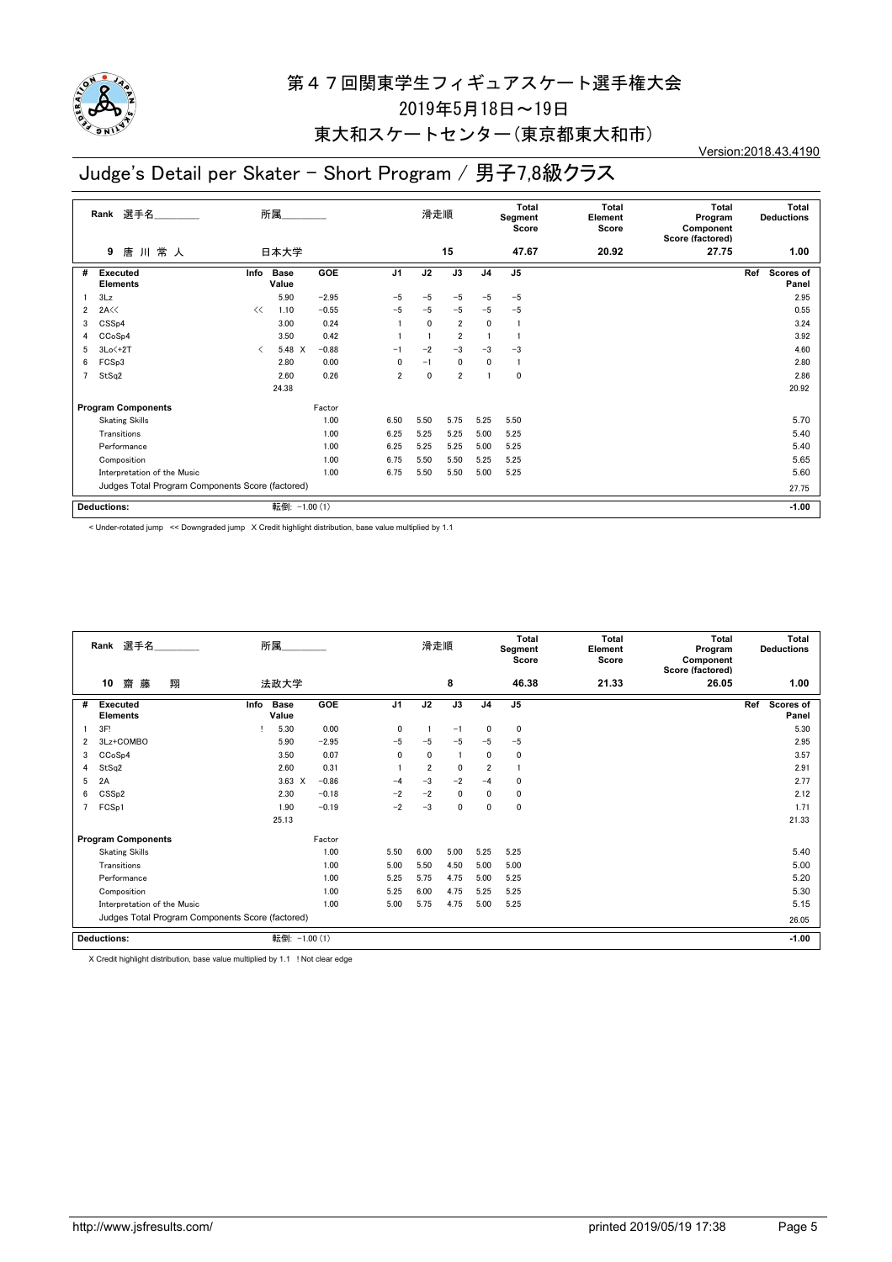

## 東大和スケートセンター(東京都東大和市)

Version:2018.43.4190

## Judge's Detail per Skater - Short Program / 男子7,8級クラス

|   | 選手名<br>Rank                                      |                               | 所属                   |            |                | 滑走順          |                |                | <b>Total</b><br>Segment<br>Score | Total<br>Element<br>Score | <b>Total</b><br>Program<br>Component<br>Score (factored) | Total<br><b>Deductions</b> |
|---|--------------------------------------------------|-------------------------------|----------------------|------------|----------------|--------------|----------------|----------------|----------------------------------|---------------------------|----------------------------------------------------------|----------------------------|
|   | 唐川常人<br>9                                        |                               | 日本大学                 |            |                |              | 15             |                | 47.67                            | 20.92                     | 27.75                                                    | 1.00                       |
| # | <b>Executed</b><br><b>Elements</b>               | Info                          | <b>Base</b><br>Value | <b>GOE</b> | J <sub>1</sub> | J2           | J3             | J <sub>4</sub> | J <sub>5</sub>                   |                           |                                                          | Scores of<br>Ref<br>Panel  |
|   | 3Lz                                              |                               | 5.90                 | $-2.95$    | $-5$           | $-5$         | $-5$           | $-5$           | $-5$                             |                           |                                                          | 2.95                       |
| 2 | 2A<<                                             | <<                            | 1.10                 | $-0.55$    | $-5$           | $-5$         | $-5$           | $-5$           | $-5$                             |                           |                                                          | 0.55                       |
| 3 | CSS <sub>p4</sub>                                |                               | 3.00                 | 0.24       |                | $\mathbf{0}$ | $\overline{2}$ | 0              |                                  |                           |                                                          | 3.24                       |
| 4 | CCoSp4                                           |                               | 3.50                 | 0.42       |                |              | $\overline{2}$ |                |                                  |                           |                                                          | 3.92                       |
| 5 | $3Lo < +2T$                                      | $\overline{\left( \right. }%$ | 5.48 X               | $-0.88$    | $-1$           | $-2$         | $-3$           | $-3$           | $-3$                             |                           |                                                          | 4.60                       |
| 6 | FCSp3                                            |                               | 2.80                 | 0.00       | 0              | $-1$         | $\mathbf 0$    | 0              | $\overline{1}$                   |                           |                                                          | 2.80                       |
| 7 | StSq2                                            |                               | 2.60                 | 0.26       | $\overline{2}$ | $\mathbf 0$  | $\overline{2}$ | 1              | 0                                |                           |                                                          | 2.86                       |
|   |                                                  |                               | 24.38                |            |                |              |                |                |                                  |                           |                                                          | 20.92                      |
|   | <b>Program Components</b>                        |                               |                      | Factor     |                |              |                |                |                                  |                           |                                                          |                            |
|   | <b>Skating Skills</b>                            |                               |                      | 1.00       | 6.50           | 5.50         | 5.75           | 5.25           | 5.50                             |                           |                                                          | 5.70                       |
|   | Transitions                                      |                               |                      | 1.00       | 6.25           | 5.25         | 5.25           | 5.00           | 5.25                             |                           |                                                          | 5.40                       |
|   | Performance                                      |                               |                      | 1.00       | 6.25           | 5.25         | 5.25           | 5.00           | 5.25                             |                           |                                                          | 5.40                       |
|   | Composition                                      |                               |                      | 1.00       | 6.75           | 5.50         | 5.50           | 5.25           | 5.25                             |                           |                                                          | 5.65                       |
|   | Interpretation of the Music                      |                               |                      | 1.00       | 6.75           | 5.50         | 5.50           | 5.00           | 5.25                             |                           |                                                          | 5.60                       |
|   | Judges Total Program Components Score (factored) |                               |                      |            |                |              |                |                |                                  | 27.75                     |                                                          |                            |
|   | Deductions:                                      |                               | 転倒: -1.00 (1)        |            |                |              |                |                |                                  |                           |                                                          | $-1.00$                    |

< Under-rotated jump << Downgraded jump X Credit highlight distribution, base value multiplied by 1.1

|   | Rank 選手名                                         | 所属                           |         |                | 滑走順            |              |                | Total<br>Segment<br>Score | Total<br>Element<br>Score | Total<br>Program<br>Component<br>Score (factored) | <b>Total</b><br><b>Deductions</b> |
|---|--------------------------------------------------|------------------------------|---------|----------------|----------------|--------------|----------------|---------------------------|---------------------------|---------------------------------------------------|-----------------------------------|
|   | 翔<br>10<br>齌<br>藤                                | 法政大学                         |         |                |                | 8            |                | 46.38                     | 21.33                     | 26.05                                             | 1.00                              |
| # | <b>Executed</b><br><b>Elements</b>               | <b>Base</b><br>Info<br>Value | GOE     | J <sub>1</sub> | J2             | J3           | J <sub>4</sub> | J <sub>5</sub>            |                           |                                                   | Ref<br><b>Scores of</b><br>Panel  |
|   | 3F!                                              | 5.30                         | 0.00    | $\mathbf{0}$   |                | $-1$         | 0              | $\mathbf 0$               |                           |                                                   | 5.30                              |
| 2 | 3Lz+COMBO                                        | 5.90                         | $-2.95$ | $-5$           | $-5$           | $-5$         | $-5$           | $-5$                      |                           |                                                   | 2.95                              |
| 3 | CCoSp4                                           | 3.50                         | 0.07    | $\mathbf{0}$   | $\mathbf{0}$   | -1           | 0              | $\mathbf 0$               |                           |                                                   | 3.57                              |
| 4 | StSq2                                            | 2.60                         | 0.31    |                | $\overline{2}$ | $\mathbf{0}$ | $\overline{2}$ |                           |                           |                                                   | 2.91                              |
| 5 | 2A                                               | $3.63 \times$                | $-0.86$ | $-4$           | $-3$           | $-2$         | $-4$           | $\mathbf 0$               |                           |                                                   | 2.77                              |
| 6 | CSS <sub>p2</sub>                                | 2.30                         | $-0.18$ | $-2$           | $-2$           | $\mathbf{0}$ | 0              | $\mathbf 0$               |                           |                                                   | 2.12                              |
|   | FCSp1                                            | 1.90                         | $-0.19$ | $-2$           | $-3$           | 0            | 0              | $\mathbf 0$               |                           |                                                   | 1.71                              |
|   |                                                  | 25.13                        |         |                |                |              |                |                           |                           |                                                   | 21.33                             |
|   | <b>Program Components</b>                        |                              | Factor  |                |                |              |                |                           |                           |                                                   |                                   |
|   | <b>Skating Skills</b>                            |                              | 1.00    | 5.50           | 6.00           | 5.00         | 5.25           | 5.25                      |                           |                                                   | 5.40                              |
|   | Transitions                                      |                              | 1.00    | 5.00           | 5.50           | 4.50         | 5.00           | 5.00                      |                           |                                                   | 5.00                              |
|   | Performance                                      |                              | 1.00    | 5.25           | 5.75           | 4.75         | 5.00           | 5.25                      |                           |                                                   | 5.20                              |
|   | Composition                                      |                              | 1.00    | 5.25           | 6.00           | 4.75         | 5.25           | 5.25                      |                           |                                                   | 5.30                              |
|   | Interpretation of the Music                      |                              | 1.00    | 5.00           | 5.75           | 4.75         | 5.00           | 5.25                      |                           |                                                   | 5.15                              |
|   | Judges Total Program Components Score (factored) |                              |         |                |                |              |                |                           |                           |                                                   | 26.05                             |
|   | <b>Deductions:</b>                               | 転倒: -1.00 (1)                |         |                |                |              |                |                           |                           |                                                   | $-1.00$                           |

X Credit highlight distribution, base value multiplied by 1.1 ! Not clear edge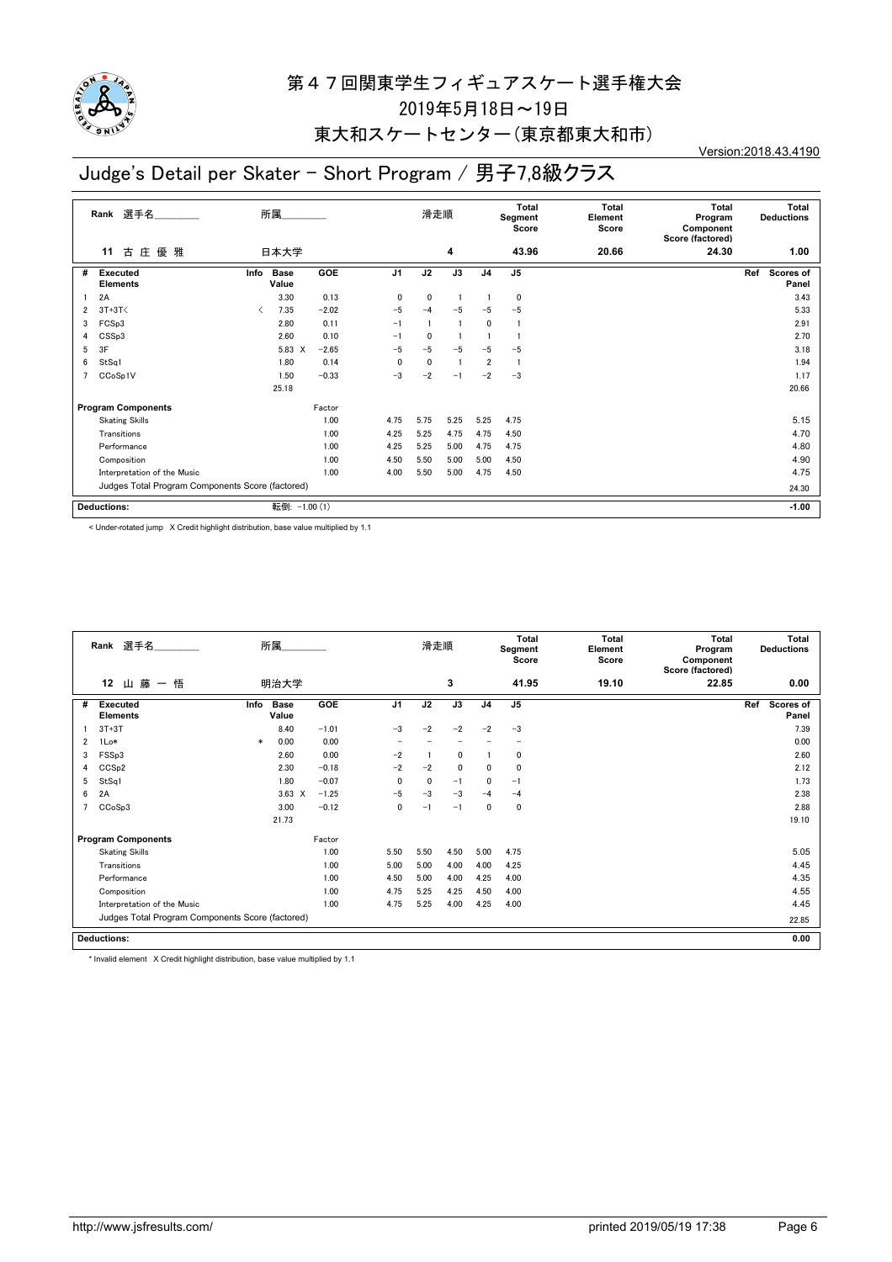

## 東大和スケートセンター(東京都東大和市)

#### Version:2018.43.4190

## Judge's Detail per Skater - Short Program / 男子7,8級クラス

|   | Rank 選手名                                         |                                          | 所属               |            |                | 滑走順         |      |                | Total<br>Segment<br>Score | <b>Total</b><br>Element<br>Score | <b>Total</b><br>Program<br>Component<br>Score (factored) | <b>Total</b><br><b>Deductions</b> |
|---|--------------------------------------------------|------------------------------------------|------------------|------------|----------------|-------------|------|----------------|---------------------------|----------------------------------|----------------------------------------------------------|-----------------------------------|
|   | 優 雅<br>古<br>庄<br>11                              |                                          | 日本大学             |            |                |             | 4    |                | 43.96                     | 20.66                            | 24.30                                                    | 1.00                              |
| # | <b>Executed</b><br><b>Elements</b>               | Info                                     | Base<br>Value    | <b>GOE</b> | J <sub>1</sub> | J2          | J3   | J <sub>4</sub> | J <sub>5</sub>            |                                  |                                                          | Ref<br>Scores of<br>Panel         |
|   | 2A                                               |                                          | 3.30             | 0.13       | 0              | 0           |      |                | 0                         |                                  |                                                          | 3.43                              |
| 2 | $3T+3T<$                                         | $\overline{\left\langle \right\rangle }$ | 7.35             | $-2.02$    | $-5$           | $-4$        | $-5$ | $-5$           | $-5$                      |                                  |                                                          | 5.33                              |
| 3 | FCSp3                                            |                                          | 2.80             | 0.11       | $-1$           |             |      | 0              | -1                        |                                  |                                                          | 2.91                              |
| 4 | CSSp3                                            |                                          | 2.60             | 0.10       | $-1$           | 0           |      |                |                           |                                  |                                                          | 2.70                              |
| 5 | 3F                                               |                                          | 5.83<br>$\times$ | $-2.65$    | $-5$           | $-5$        | $-5$ | $-5$           | $-5$                      |                                  |                                                          | 3.18                              |
| 6 | StSq1                                            |                                          | 1.80             | 0.14       | 0              | $\mathbf 0$ |      | $\overline{2}$ | $\overline{1}$            |                                  |                                                          | 1.94                              |
|   | CC <sub>o</sub> S <sub>p1</sub> V                |                                          | 1.50             | $-0.33$    | $-3$           | $-2$        | $-1$ | $-2$           | $-3$                      |                                  |                                                          | 1.17                              |
|   |                                                  |                                          | 25.18            |            |                |             |      |                |                           |                                  |                                                          | 20.66                             |
|   | <b>Program Components</b>                        |                                          |                  | Factor     |                |             |      |                |                           |                                  |                                                          |                                   |
|   | <b>Skating Skills</b>                            |                                          |                  | 1.00       | 4.75           | 5.75        | 5.25 | 5.25           | 4.75                      |                                  |                                                          | 5.15                              |
|   | Transitions                                      |                                          |                  | 1.00       | 4.25           | 5.25        | 4.75 | 4.75           | 4.50                      |                                  |                                                          | 4.70                              |
|   | Performance                                      |                                          |                  | 1.00       | 4.25           | 5.25        | 5.00 | 4.75           | 4.75                      |                                  |                                                          | 4.80                              |
|   | Composition                                      |                                          |                  | 1.00       | 4.50           | 5.50        | 5.00 | 5.00           | 4.50                      |                                  |                                                          | 4.90                              |
|   | Interpretation of the Music                      |                                          |                  | 1.00       | 4.00           | 5.50        | 5.00 | 4.75           | 4.50                      |                                  |                                                          | 4.75                              |
|   | Judges Total Program Components Score (factored) |                                          |                  |            |                |             |      |                |                           |                                  |                                                          | 24.30                             |
|   | <b>Deductions:</b>                               |                                          | 転倒: -1.00 (1)    |            |                |             |      |                |                           |                                  |                                                          | $-1.00$                           |

< Under-rotated jump X Credit highlight distribution, base value multiplied by 1.1

|   | Rank 選手名                                         |        | 所属                   |            |                | 滑走順  |              |                | <b>Total</b><br>Segment<br>Score | <b>Total</b><br>Element<br>Score | <b>Total</b><br>Program<br>Component<br>Score (factored) | <b>Total</b><br><b>Deductions</b> |
|---|--------------------------------------------------|--------|----------------------|------------|----------------|------|--------------|----------------|----------------------------------|----------------------------------|----------------------------------------------------------|-----------------------------------|
|   | 12<br>藤<br>悟<br>山<br>$\overline{\phantom{m}}$    |        | 明治大学                 |            |                |      | 3            |                | 41.95                            | 19.10                            | 22.85                                                    | 0.00                              |
| # | <b>Executed</b><br><b>Elements</b>               | Info   | <b>Base</b><br>Value | <b>GOE</b> | J <sub>1</sub> | J2   | J3           | J <sub>4</sub> | J <sub>5</sub>                   |                                  |                                                          | Ref<br><b>Scores of</b><br>Panel  |
|   | $3T+3T$                                          |        | 8.40                 | $-1.01$    | $-3$           | $-2$ | $-2$         | $-2$           | $-3$                             |                                  |                                                          | 7.39                              |
| 2 | 1Lo*                                             | $\ast$ | 0.00                 | 0.00       |                |      |              |                |                                  |                                  |                                                          | 0.00                              |
| 3 | FSSp3                                            |        | 2.60                 | 0.00       | $-2$           |      | 0            |                | 0                                |                                  |                                                          | 2.60                              |
| 4 | CCSp2                                            |        | 2.30                 | $-0.18$    | $-2$           | $-2$ | $\mathbf{0}$ | $\Omega$       | 0                                |                                  |                                                          | 2.12                              |
| 5 | StSq1                                            |        | 1.80                 | $-0.07$    | 0              | 0    | $-1$         | $\mathbf 0$    | $-1$                             |                                  |                                                          | 1.73                              |
| 6 | 2A                                               |        | $3.63 \times$        | $-1.25$    | $-5$           | $-3$ | $-3$         | $-4$           | $-4$                             |                                  |                                                          | 2.38                              |
| 7 | CCoSp3                                           |        | 3.00                 | $-0.12$    | $\mathbf 0$    | $-1$ | $-1$         | 0              | 0                                |                                  |                                                          | 2.88                              |
|   |                                                  |        | 21.73                |            |                |      |              |                |                                  |                                  |                                                          | 19.10                             |
|   | <b>Program Components</b>                        |        |                      | Factor     |                |      |              |                |                                  |                                  |                                                          |                                   |
|   | <b>Skating Skills</b>                            |        |                      | 1.00       | 5.50           | 5.50 | 4.50         | 5.00           | 4.75                             |                                  |                                                          | 5.05                              |
|   | Transitions                                      |        |                      | 1.00       | 5.00           | 5.00 | 4.00         | 4.00           | 4.25                             |                                  |                                                          | 4.45                              |
|   | Performance                                      |        |                      | 1.00       | 4.50           | 5.00 | 4.00         | 4.25           | 4.00                             |                                  |                                                          | 4.35                              |
|   | Composition                                      |        |                      | 1.00       | 4.75           | 5.25 | 4.25         | 4.50           | 4.00                             |                                  |                                                          | 4.55                              |
|   | Interpretation of the Music                      |        |                      | 1.00       | 4.75           | 5.25 | 4.00         | 4.25           | 4.00                             |                                  |                                                          | 4.45                              |
|   | Judges Total Program Components Score (factored) |        |                      |            |                |      |              |                |                                  |                                  |                                                          | 22.85                             |
|   | <b>Deductions:</b>                               |        |                      |            |                |      |              |                |                                  |                                  |                                                          | 0.00                              |

\* Invalid element X Credit highlight distribution, base value multiplied by 1.1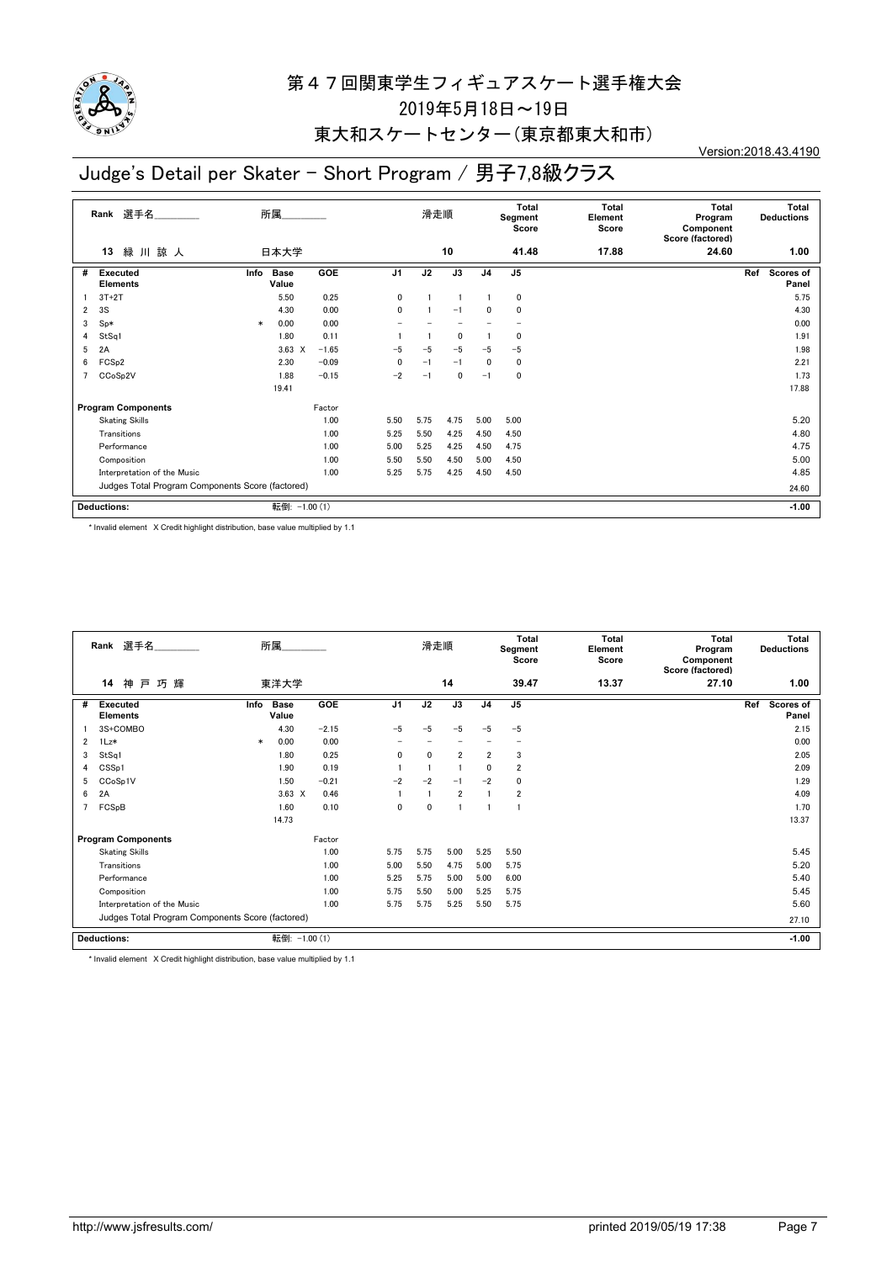

## 東大和スケートセンター(東京都東大和市)

Version:2018.43.4190

# Judge's Detail per Skater - Short Program / 男子7,8級クラス

| 選手名<br>Rank               |                                                  |        | 所属                   |            |              | 滑走順  |      |                | Total<br>Segment<br>Score | <b>Total</b><br>Element<br>Score | <b>Total</b><br>Program<br>Component<br>Score (factored) | <b>Total</b><br><b>Deductions</b> |
|---------------------------|--------------------------------------------------|--------|----------------------|------------|--------------|------|------|----------------|---------------------------|----------------------------------|----------------------------------------------------------|-----------------------------------|
|                           | 緑 川 諒 人<br>13                                    |        | 日本大学                 |            |              |      | 10   |                | 41.48                     | 17.88                            | 24.60                                                    | 1.00                              |
| #                         | <b>Executed</b><br><b>Elements</b>               | Info   | <b>Base</b><br>Value | <b>GOE</b> | J1           | J2   | J3   | J <sub>4</sub> | J5                        |                                  |                                                          | Scores of<br>Ref<br>Panel         |
|                           | $3T+2T$                                          |        | 5.50                 | 0.25       | $\mathbf 0$  |      |      |                | 0                         |                                  |                                                          | 5.75                              |
| 2                         | 3S                                               |        | 4.30                 | 0.00       | $\mathbf{0}$ |      | $-1$ | 0              | 0                         |                                  |                                                          | 4.30                              |
| 3                         | $Sp*$                                            | $\ast$ | 0.00                 | 0.00       |              |      |      |                |                           |                                  |                                                          | 0.00                              |
| 4                         | StSq1                                            |        | 1.80                 | 0.11       |              |      | 0    |                | 0                         |                                  |                                                          | 1.91                              |
| 5                         | 2A                                               |        | 3.63<br>$\times$     | $-1.65$    | $-5$         | $-5$ | $-5$ | $-5$           | $-5$                      |                                  |                                                          | 1.98                              |
| 6                         | FCS <sub>p2</sub>                                |        | 2.30                 | $-0.09$    | $\mathbf 0$  | $-1$ | $-1$ | $\mathbf{0}$   | $\mathbf 0$               |                                  |                                                          | 2.21                              |
|                           | CCoSp2V                                          |        | 1.88                 | $-0.15$    | $-2$         | $-1$ | 0    | $-1$           | 0                         |                                  |                                                          | 1.73                              |
|                           |                                                  |        | 19.41                |            |              |      |      |                |                           |                                  |                                                          | 17.88                             |
| <b>Program Components</b> |                                                  |        |                      | Factor     |              |      |      |                |                           |                                  |                                                          |                                   |
|                           | <b>Skating Skills</b>                            |        |                      | 1.00       | 5.50         | 5.75 | 4.75 | 5.00           | 5.00                      |                                  |                                                          | 5.20                              |
|                           | Transitions                                      |        |                      | 1.00       | 5.25         | 5.50 | 4.25 | 4.50           | 4.50                      |                                  |                                                          | 4.80                              |
|                           | Performance                                      |        |                      | 1.00       | 5.00         | 5.25 | 4.25 | 4.50           | 4.75                      |                                  |                                                          | 4.75                              |
|                           | Composition                                      |        |                      | 1.00       | 5.50         | 5.50 | 4.50 | 5.00           | 4.50                      |                                  |                                                          | 5.00                              |
|                           | Interpretation of the Music                      |        |                      | 1.00       | 5.25         | 5.75 | 4.25 | 4.50           | 4.50                      |                                  |                                                          | 4.85                              |
|                           | Judges Total Program Components Score (factored) |        |                      |            |              |      |      |                | 24.60                     |                                  |                                                          |                                   |
|                           | Deductions:                                      |        | 転倒: -1.00 (1)        |            |              |      |      |                |                           |                                  |                                                          | $-1.00$                           |

\* Invalid element X Credit highlight distribution, base value multiplied by 1.1

| Rank 選手名       |                                                  |        | 所属                   |         |                | 滑走順          |                |                | <b>Total</b><br>Segment<br>Score | <b>Total</b><br>Element<br>Score | <b>Total</b><br>Program<br>Component<br>Score (factored) | <b>Deductions</b> | <b>Total</b>       |
|----------------|--------------------------------------------------|--------|----------------------|---------|----------------|--------------|----------------|----------------|----------------------------------|----------------------------------|----------------------------------------------------------|-------------------|--------------------|
|                | 神戸巧輝<br>14                                       |        | 東洋大学                 |         |                |              | 14             |                | 39.47                            | 13.37                            | 27.10                                                    |                   | 1.00               |
| #              | <b>Executed</b><br><b>Elements</b>               | Info   | <b>Base</b><br>Value | GOE     | J <sub>1</sub> | J2           | J3             | J <sub>4</sub> | J <sub>5</sub>                   |                                  |                                                          | Ref               | Scores of<br>Panel |
|                | 3S+COMBO                                         |        | 4.30                 | $-2.15$ | $-5$           | $-5$         | $-5$           | $-5$           | $-5$                             |                                  |                                                          |                   | 2.15               |
| $\overline{2}$ | 1Lz*                                             | $\ast$ | 0.00                 | 0.00    |                |              |                |                |                                  |                                  |                                                          |                   | 0.00               |
| 3              | StSq1                                            |        | 1.80                 | 0.25    | 0              | $\mathbf{0}$ | $\overline{2}$ | $\overline{2}$ | 3                                |                                  |                                                          |                   | 2.05               |
| 4              | CSSp1                                            |        | 1.90                 | 0.19    |                |              |                | $\mathbf{0}$   | $\overline{\mathbf{2}}$          |                                  |                                                          |                   | 2.09               |
| 5              | CCoSp1V                                          |        | 1.50                 | $-0.21$ | $-2$           | $-2$         | $-1$           | $-2$           | $\mathbf{0}$                     |                                  |                                                          |                   | 1.29               |
| 6              | 2A                                               |        | $3.63 \times$        | 0.46    |                |              | $\overline{2}$ |                | $\overline{2}$                   |                                  |                                                          |                   | 4.09               |
| 7              | FCSpB                                            |        | 1.60                 | 0.10    | 0              | 0            |                |                |                                  |                                  |                                                          |                   | 1.70               |
|                |                                                  |        | 14.73                |         |                |              |                |                |                                  |                                  |                                                          |                   | 13.37              |
|                | <b>Program Components</b>                        |        |                      | Factor  |                |              |                |                |                                  |                                  |                                                          |                   |                    |
|                | <b>Skating Skills</b>                            |        |                      | 1.00    | 5.75           | 5.75         | 5.00           | 5.25           | 5.50                             |                                  |                                                          |                   | 5.45               |
|                | Transitions                                      |        |                      | 1.00    | 5.00           | 5.50         | 4.75           | 5.00           | 5.75                             |                                  |                                                          |                   | 5.20               |
|                | Performance                                      |        |                      | 1.00    | 5.25           | 5.75         | 5.00           | 5.00           | 6.00                             |                                  |                                                          |                   | 5.40               |
|                | Composition                                      |        |                      | 1.00    | 5.75           | 5.50         | 5.00           | 5.25           | 5.75                             |                                  |                                                          |                   | 5.45               |
|                | Interpretation of the Music                      |        |                      | 1.00    | 5.75           | 5.75         | 5.25           | 5.50           | 5.75                             |                                  |                                                          |                   | 5.60               |
|                | Judges Total Program Components Score (factored) |        |                      |         |                |              |                |                |                                  |                                  |                                                          |                   | 27.10              |
|                | <b>Deductions:</b>                               |        | 転倒: -1.00 (1)        |         |                |              |                |                |                                  |                                  |                                                          |                   | $-1.00$            |

\* Invalid element X Credit highlight distribution, base value multiplied by 1.1